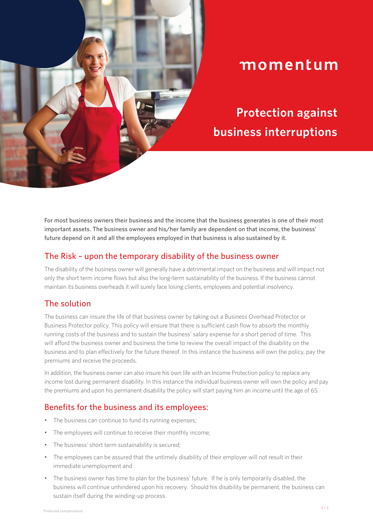

# momentum

**Protection against business interruptions**

For most business owners their business and the income that the business generates is one of their most important assets. The business owner and his/her family are dependent on that income, the business' future depend on it and all the employees employed in that business is also sustained by it.

### The Risk – upon the temporary disability of the business owner

The disability of the business owner will generally have a detrimental impact on the business and will impact not only the short term income flows but also the long-term sustainability of the business. If the business cannot maintain its business overheads it will surely face losing clients, employees and potential insolvency.

### The solution

The business can insure the life of that business owner by taking out a Business Overhead Protector or Business Protector policy. This policy will ensure that there is sufficient cash flow to absorb the monthly running costs of the business and to sustain the business' salary expense for a short period of time. This will afford the business owner and business the time to review the overall impact of the disability on the business and to plan effectively for the future thereof. In this instance the business will own the policy, pay the premiums and receive the proceeds.

In addition, the business owner can also insure his own life with an Income Protection policy to replace any income lost during permanent disability. In this instance the individual business owner will own the policy and pay the premiums and upon his permanent disability the policy will start paying him an income until the age of 65.

# Benefits for the business and its employees:

- The business can continue to fund its running expenses;
- The employees will continue to receive their monthly income;
- The business' short term sustainability is secured;
- The employees can be assured that the untimely disability of their employer will not result in their immediate unemployment and
- The business owner has time to plan for the business' future. If he is only temporarily disabled, the business will continue unhindered upon his recovery. Should his disability be permanent, the business can sustain itself during the winding-up process.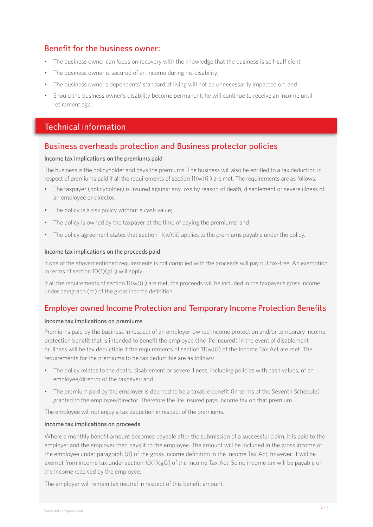# Benefit for the business owner:

- The business owner can focus on recovery with the knowledge that the business is self-sufficient;
- The business owner is secured of an income during his disability;
- The business owner's dependents' standard of living will not be unnecessarily impacted on; and
- Should the business owner's disability become permanent, he will continue to receive an income until retirement age.

## Technical information

### Business overheads protection and Business protector policies

#### Income tax implications on the premiums paid

The business is the policyholder and pays the premiums. The business will also be entitled to a tax deduction in respect of premiums paid if all the requirements of section 11(w)(ii) are met. The requirements are as follows:

- The taxpayer (policyholder) is insured against any loss by reason of death, disablement or severe illness of an employee or director;
- The policy is a risk policy without a cash value;
- The policy is owned by the taxpayer at the time of paying the premiums; and
- The policy agreement states that section 11(w)(ii) applies to the premiums payable under the policy.

#### Income tax implications on the proceeds paid

If one of the abovementioned requirements is not complied with the proceeds will pay out tax-free. An exemption in terms of section 10(1)(gH) will apply.

If all the requirements of section 11(w)(ii) are met, the proceeds will be included in the taxpayer's gross income under paragraph (m) of the gross income definition.

# Employer owned Income Protection and Temporary Income Protection Benefits

#### Income tax implications on premiums

Premiums paid by the business in respect of an employer-owned income protection and/or temporary income protection benefit that is intended to benefit the employee (the life insured) in the event of disablement or illness will be tax deductible if the requirements of section 11(w)(i) of the Income Tax Act are met. The requirements for the premiums to be tax deductible are as follows:

- The policy relates to the death, disablement or severe illness, including policies with cash values, of an employee/director of the taxpayer; and
- The premium paid by the employer is deemed to be a taxable benefit (in terms of the Seventh Schedule) granted to the employee/director. Therefore the life insured pays income tax on that premium.

The employee will not enjoy a tax deduction in respect of the premiums.

#### Income tax implications on proceeds

Where a monthly benefit amount becomes payable after the submission of a successful claim, it is paid to the employer and the employer then pays it to the employee. The amount will be included in the gross income of the employee under paragraph (d) of the gross income definition in the Income Tax Act, however, it will be exempt from income tax under section 10(1)(gG) of the Income Tax Act. So no income tax will be payable on the income received by the employee.

The employer will remain tax neutral in respect of this benefit amount.